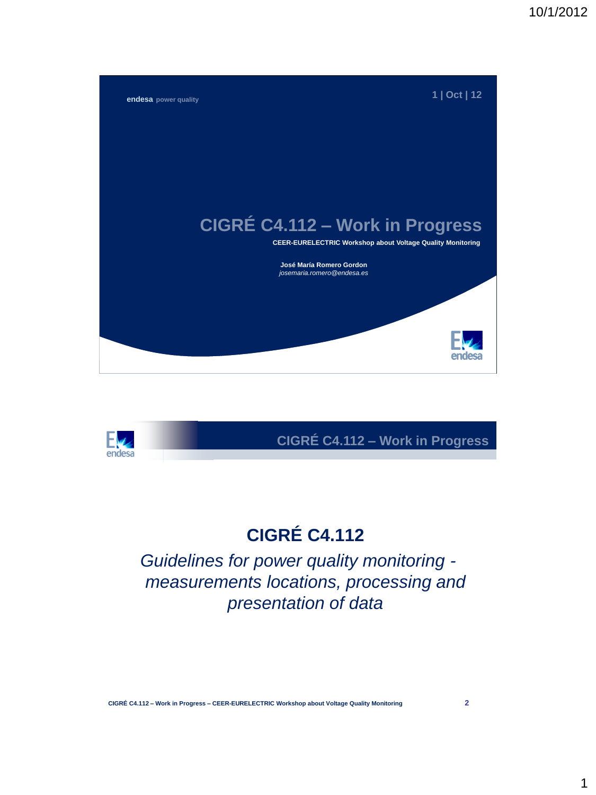



# **CIGRÉ C4.112**

*Guidelines for power quality monitoring measurements locations, processing and presentation of data*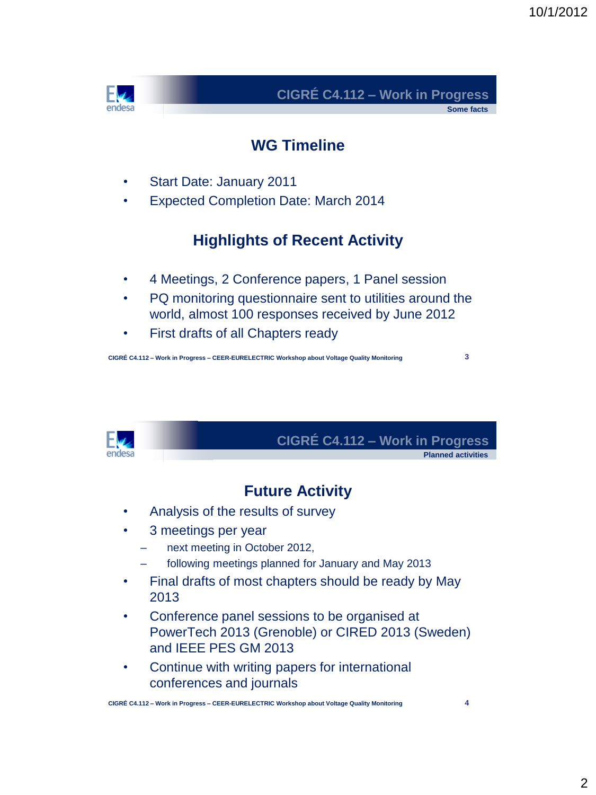

**Some facts**

### **WG Timeline**

- Start Date: January 2011
- Expected Completion Date: March 2014

## **Highlights of Recent Activity**

- 4 Meetings, 2 Conference papers, 1 Panel session
- PQ monitoring questionnaire sent to utilities around the world, almost 100 responses received by June 2012
- First drafts of all Chapters ready

**CIGRÉ C4.112 – Work in Progress – CEER-EURELECTRIC Workshop about Voltage Quality Monitoring**

**3**



## **CIGRÉ C4.112 – Work in Progress**

**Planned activities**

## **Future Activity**

- Analysis of the results of survey
- 3 meetings per year
	- next meeting in October 2012,
	- following meetings planned for January and May 2013
- Final drafts of most chapters should be ready by May 2013
- Conference panel sessions to be organised at PowerTech 2013 (Grenoble) or CIRED 2013 (Sweden) and IEEE PES GM 2013
- Continue with writing papers for international conferences and journals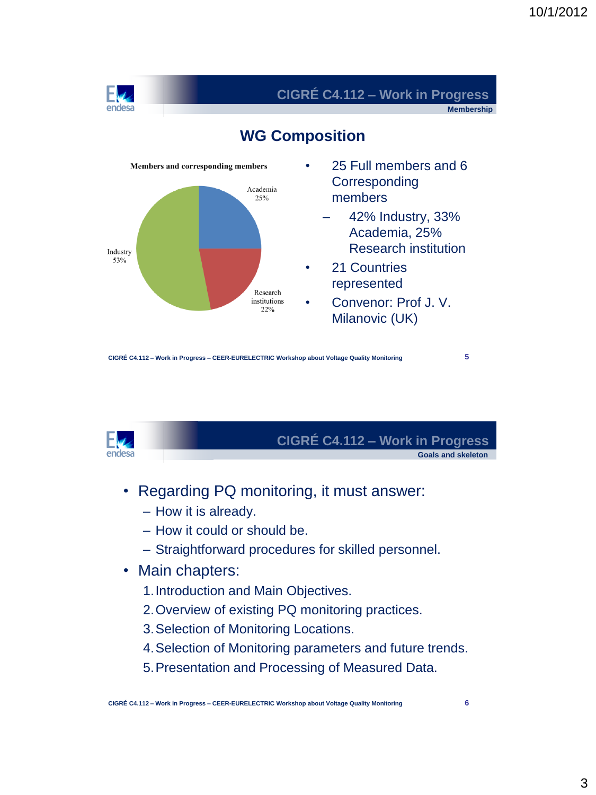

**Membership**



### **WG Composition**

**CIGRÉ C4.112 – Work in Progress – CEER-EURELECTRIC Workshop about Voltage Quality Monitoring**

**5**



# **CIGRÉ C4.112 – Work in Progress**

**Goals and skeleton**

- Regarding PQ monitoring, it must answer:
	- How it is already.
	- How it could or should be.
	- Straightforward procedures for skilled personnel.
- Main chapters:
	- 1.Introduction and Main Objectives.
	- 2.Overview of existing PQ monitoring practices.
	- 3.Selection of Monitoring Locations.
	- 4.Selection of Monitoring parameters and future trends.
	- 5.Presentation and Processing of Measured Data.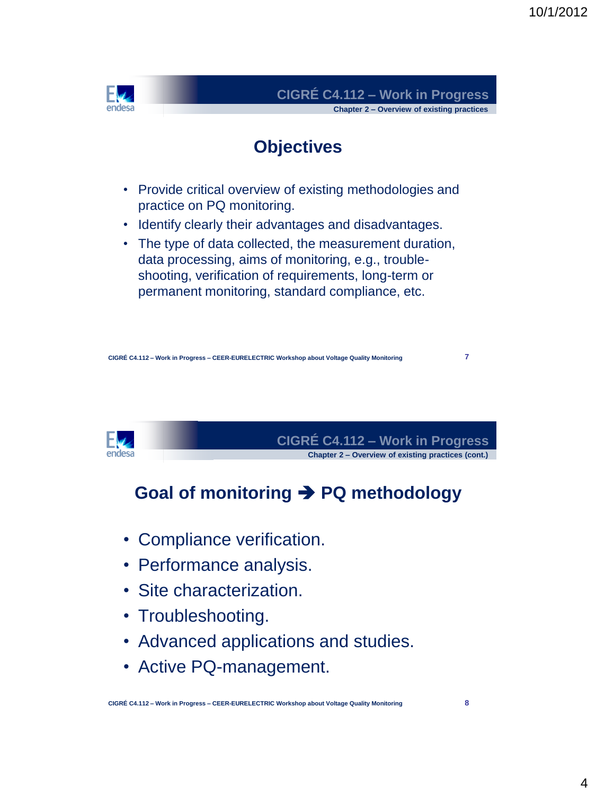

**7**



**CIGRÉ C4.112 – Work in Progress Chapter 2 – Overview of existing practices (cont.)**

# **Goal of monitoring PQ methodology**

- Compliance verification.
- Performance analysis.
- Site characterization.
- Troubleshooting.
- Advanced applications and studies.
- Active PQ-management.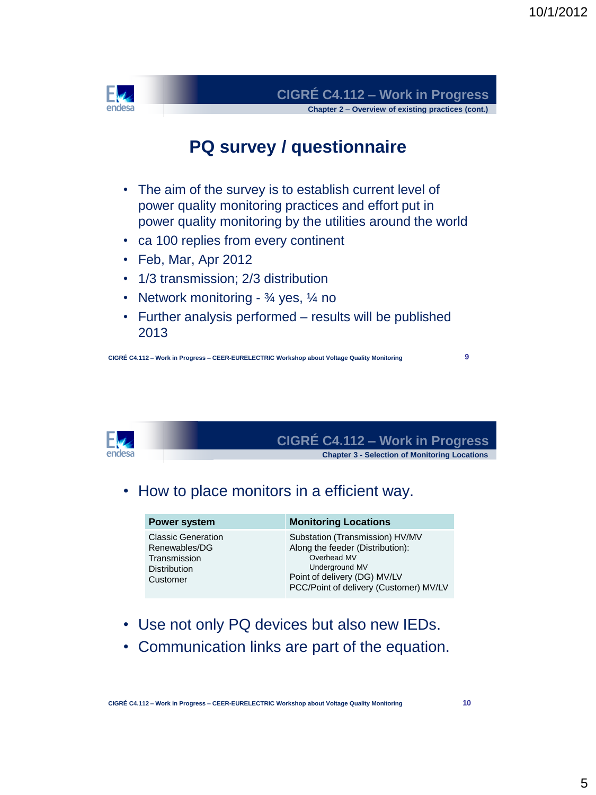

## **PQ survey / questionnaire**

- The aim of the survey is to establish current level of power quality monitoring practices and effort put in power quality monitoring by the utilities around the world
- ca 100 replies from every continent
- Feb, Mar, Apr 2012
- 1/3 transmission; 2/3 distribution
- Network monitoring  $\frac{3}{4}$  yes,  $\frac{1}{4}$  no
- Further analysis performed results will be published 2013

**CIGRÉ C4.112 – Work in Progress – CEER-EURELECTRIC Workshop about Voltage Quality Monitoring**

**9**



**CIGRÉ C4.112 – Work in Progress**

#### **Chapter 3 - Selection of Monitoring Locations**

### • How to place monitors in a efficient way.

| Power system                                                                                  | <b>Monitoring Locations</b>                                                                                                                                                    |
|-----------------------------------------------------------------------------------------------|--------------------------------------------------------------------------------------------------------------------------------------------------------------------------------|
| <b>Classic Generation</b><br>Renewables/DG<br>Transmission<br><b>Distribution</b><br>Customer | Substation (Transmission) HV/MV<br>Along the feeder (Distribution):<br>Overhead MV<br>Underground MV<br>Point of delivery (DG) MV/LV<br>PCC/Point of delivery (Customer) MV/LV |

- Use not only PQ devices but also new IEDs.
- Communication links are part of the equation.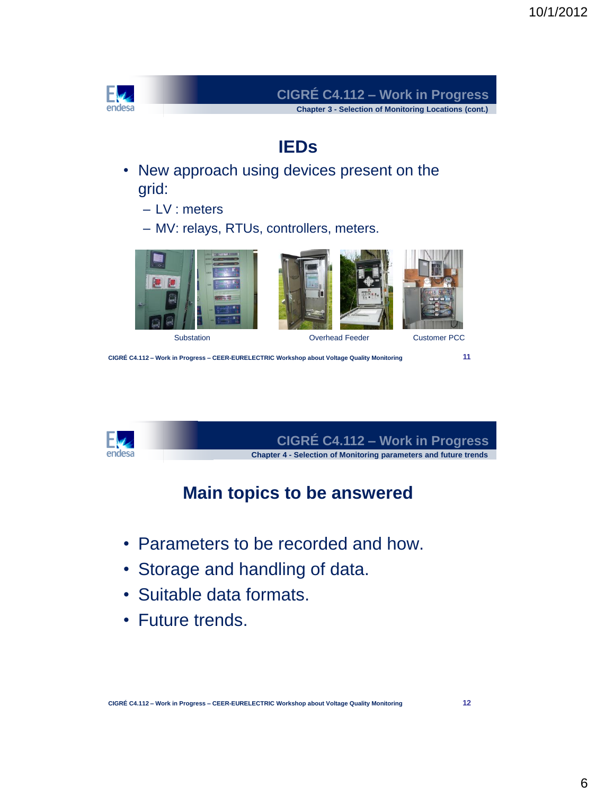



**CIGRÉ C4.112 – Work in Progress Chapter 4 - Selection of Monitoring parameters and future trends**

## **Main topics to be answered**

- Parameters to be recorded and how.
- Storage and handling of data.
- Suitable data formats.
- Future trends.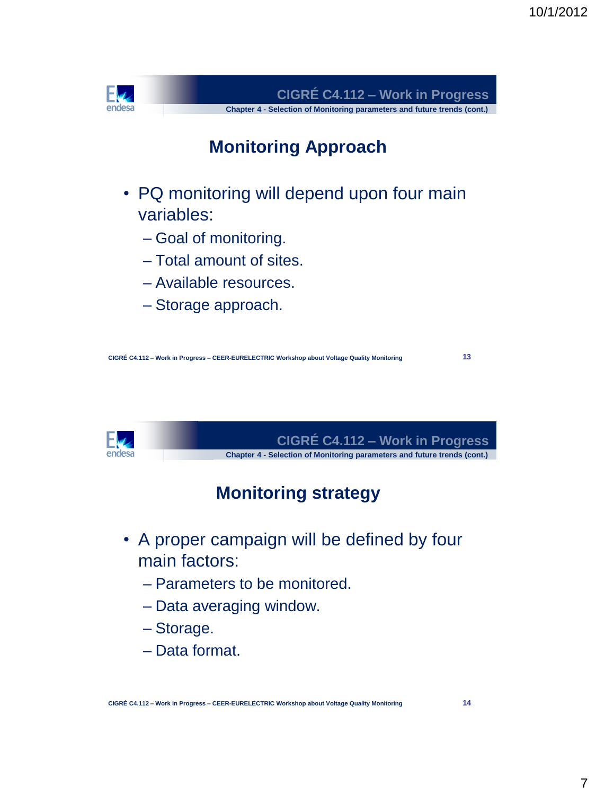

**13**



**CIGRÉ C4.112 – Work in Progress Chapter 4 - Selection of Monitoring parameters and future trends (cont.)**

# **Monitoring strategy**

- A proper campaign will be defined by four main factors:
	- Parameters to be monitored.
	- Data averaging window.
	- Storage.
	- Data format.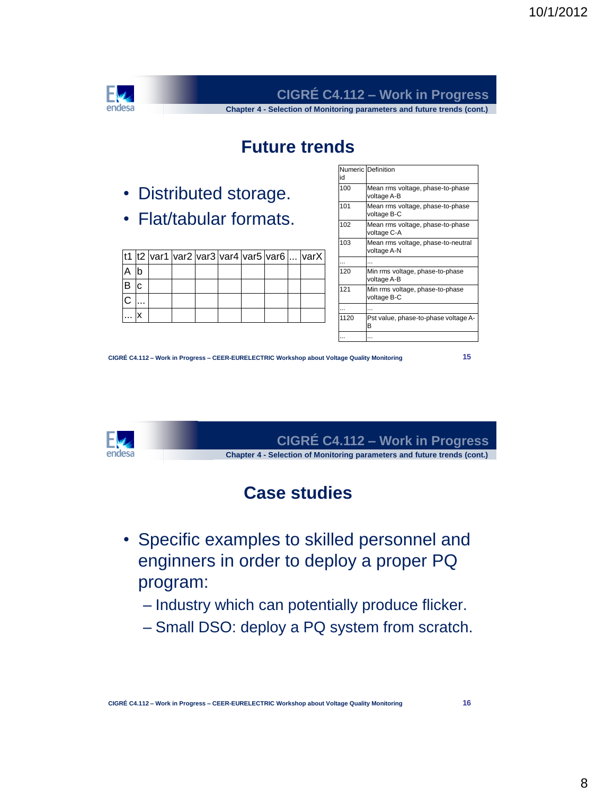

**Chapter 4 - Selection of Monitoring parameters and future trends (cont.)**

## **Future trends**

- Distributed storage.
- Flat/tabular formats.

|     |  |  |  | t1  t2  var1  var2  var3  var4  var5  var6    varX |
|-----|--|--|--|----------------------------------------------------|
|     |  |  |  |                                                    |
| ۱C. |  |  |  |                                                    |
|     |  |  |  |                                                    |
|     |  |  |  |                                                    |

| id   | Numeric Definition                                |
|------|---------------------------------------------------|
| 100  | Mean rms voltage, phase-to-phase<br>voltage A-B   |
| 101  | Mean rms voltage, phase-to-phase<br>voltage B-C   |
| 102  | Mean rms voltage, phase-to-phase<br>voltage C-A   |
| 103  | Mean rms voltage, phase-to-neutral<br>voltage A-N |
|      |                                                   |
| 120  | Min rms voltage, phase-to-phase<br>voltage A-B    |
| 121  | Min rms voltage, phase-to-phase<br>voltage B-C    |
|      |                                                   |
| 1120 | Pst value, phase-to-phase voltage A-<br>B         |
|      |                                                   |

**CIGRÉ C4.112 – Work in Progress – CEER-EURELECTRIC Workshop about Voltage Quality Monitoring**

**15**



**CIGRÉ C4.112 – Work in Progress Chapter 4 - Selection of Monitoring parameters and future trends (cont.)**

## **Case studies**

- Specific examples to skilled personnel and enginners in order to deploy a proper PQ program:
	- Industry which can potentially produce flicker.
	- Small DSO: deploy a PQ system from scratch.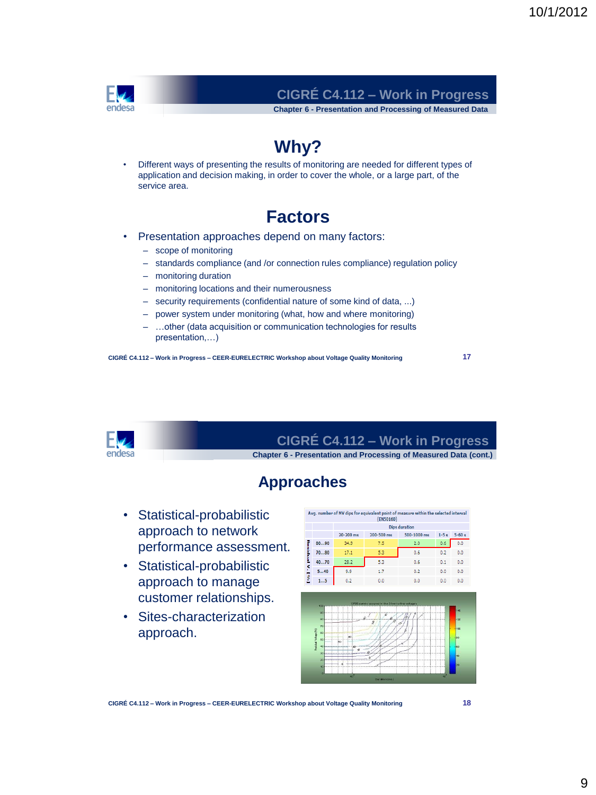

**Chapter 6 - Presentation and Processing of Measured Data**

# **Why?**

• Different ways of presenting the results of monitoring are needed for different types of application and decision making, in order to cover the whole, or a large part, of the service area.

### **Factors**

- Presentation approaches depend on many factors:
	- scope of monitoring
	- standards compliance (and /or connection rules compliance) regulation policy
	- monitoring duration
	- monitoring locations and their numerousness
	- security requirements (confidential nature of some kind of data, ...)
	- power system under monitoring (what, how and where monitoring)
	- …other (data acquisition or communication technologies for results presentation,…)

**CIGRÉ C4.112 – Work in Progress – CEER-EURELECTRIC Workshop about Voltage Quality Monitoring**

**17**



**CIGRÉ C4.112 – Work in Progress**

**Chapter 6 - Presentation and Processing of Measured Data (cont.)**

### **Approaches**

- Statistical-probabilistic approach to network performance assessment.
- Statistical-probabilistic approach to manage customer relationships.
- Sites-characterization approach.





**CIGRÉ C4.112 – Work in Progress – CEER-EURELECTRIC Workshop about Voltage Quality Monitoring**